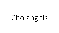# Cholangitis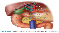

Figure 32-1. Anterior aspect of the biliary anatomy.  $a = right h$  hepatic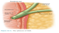

Figure 32-3. The sphincter of Oddi.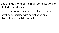Cholangitis is one of the main complications of choledochal stones.

Acute **cholangitis** is an ascending bacterial infection associated with partial or complete obstruction of the bile ducts.43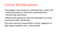### Clinical Manifestations

- Cholangitis may present as anything from a mild, selflimited episode to a fulminant, potentially lifethreatening septicemia.
- Patients with gallstone-induced cholangitis are most commonly older and female.
- The most common presentation is fever, epigastric or right upper quadrant pain, and jaundice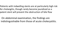Patients with indwelling stents are at particularly high risk for cholangitis, though rarely become jaundiced as a patent stent will prevent the obstruction of bile flow

On abdominal examination, the findings are indistinguishable from those of acute cholecystitis.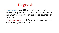

- Leukocytosis, hyperbilirubinemia, and elevation of alkaline phosphatase and transaminases are common and, when present, support the clinical diagnosis of cholangitis.
- •. Ultrasonography is helpful, as it will document the presence of gallbladder stones.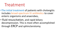# Treatment

- •The initial treatment of patients with cholangitis includes broad-spectrum IV antibiotics to cover enteric organisms and anaerobes,
- fluid resuscitation, and rapid biliary decompression. This is most often accomplished through ERCP and sphincterotomy.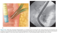



А

B

Figure 32-10. Endoscopic retrograde cholangiography. A. A schematic picture showing the side-viewing endoscope in the duodenum and a catheter in the common bile duct. B. An endoscopic cholangiogram showing stones in the common bile duct. The catheter has been placed through the ampulla of Vater into the distal common bile duct (arrow). Note the duodenal shadow indicated with arrowheads.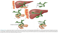

Figure 32-12. Schematic diagram of percutaneous transhepatic cholangiogram and drainage for obstructing proximal cholangiocarcinoma. A. Dilated intrahepatic bile duct is entered percutaneously with a fine needle. B. Small guidewire is passed through the needle into the duct. C. A plastic catheter has been passed over the wire, and the wire is subsequently removed. A cholangiogram can be performed through the catheter. D. An external drainage catheter in place. E. Long wire placed via the catheter and advanced past the tumor and into the duodenum. F. Internal stent has been placed through the tumor.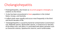## Cholangiohepatitis

- Cholangiohepatitis, also known as recurrent pyogenic cholangitis, is endemic to the Orient.
- It also has been encountered in Asian population in the United States, Europe, and Australia.
- It affects both sexes equally and occurs most frequently in the third and fourth decades of life.
- Cholangiohepatitis is caused by bacterial contamination (commonly E coli, Klebsiella species, Bacteroides species, or Enterococcus faecalis) of the biliary tree, and often it is associated with biliary parasites such as Clonorchis sinensis, Opisthorchis viverrini, and A lumbricoides.